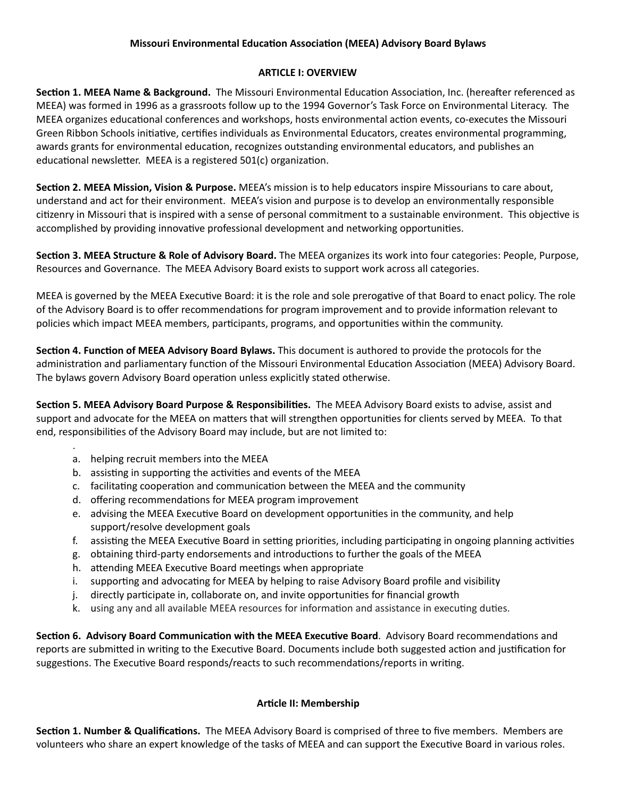## **Missouri Environmental Education Association (MEEA) Advisory Board Bylaws**

### **ARTICLE I: OVERVIEW**

**Section 1. MEEA Name & Background.** The Missouri Environmental Education Association, Inc. (hereafter referenced as MEEA) was formed in 1996 as a grassroots follow up to the 1994 Governor's Task Force on Environmental Literacy. The MEEA organizes educational conferences and workshops, hosts environmental action events, co-executes the Missouri Green Ribbon Schools initiative, certifies individuals as Environmental Educators, creates environmental programming, awards grants for environmental education, recognizes outstanding environmental educators, and publishes an educational newsletter. MEEA is a registered 501(c) organization.

**Section 2. MEEA Mission, Vision & Purpose.** MEEA's mission is to help educators inspire Missourians to care about, understand and act for their environment. MEEA's vision and purpose is to develop an environmentally responsible citizenry in Missouri that is inspired with a sense of personal commitment to a sustainable environment. This objective is accomplished by providing innovative professional development and networking opportunities.

**Section 3. MEEA Structure & Role of Advisory Board. The MEEA organizes its work into four categories: People, Purpose,** Resources and Governance. The MEEA Advisory Board exists to support work across all categories.

MEEA is governed by the MEEA Executive Board: it is the role and sole prerogative of that Board to enact policy. The role of the Advisory Board is to offer recommendations for program improvement and to provide information relevant to policies which impact MEEA members, participants, programs, and opportunities within the community.

**Section 4. Function of MEEA Advisory Board Bylaws.** This document is authored to provide the protocols for the administration and parliamentary function of the Missouri Environmental Education Association (MEEA) Advisory Board. The bylaws govern Advisory Board operation unless explicitly stated otherwise.

**Section 5. MEEA Advisory Board Purpose & Responsibilities. The MEEA Advisory Board exists to advise, assist and** support and advocate for the MEEA on matters that will strengthen opportunities for clients served by MEEA. To that end, responsibilities of the Advisory Board may include, but are not limited to:

a. helping recruit members into the MEEA

.

- b. assisting in supporting the activities and events of the MEEA
- c. facilitating cooperation and communication between the MEEA and the community
- d. offering recommendations for MEEA program improvement
- e. advising the MEEA Executive Board on development opportunities in the community, and help support/resolve development goals
- f. assisting the MEEA Executive Board in setting priorities, including participating in ongoing planning activities
- g. obtaining third-party endorsements and introductions to further the goals of the MEEA
- h. attending MEEA Executive Board meetings when appropriate
- i. supporting and advocating for MEEA by helping to raise Advisory Board profile and visibility
- j. directly participate in, collaborate on, and invite opportunities for financial growth
- k. using any and all available MEEA resources for information and assistance in executing duties.

**Section 6. Advisory Board Communication with the MEEA Executive Board. Advisory Board recommendations and** reports are submitted in writing to the Executive Board. Documents include both suggested action and justification for suggestions. The Executive Board responds/reacts to such recommendations/reports in writing.

# **Arcle II: Membership**

**Section 1. Number & Qualifications.** The MEEA Advisory Board is comprised of three to five members. Members are volunteers who share an expert knowledge of the tasks of MEEA and can support the Executive Board in various roles.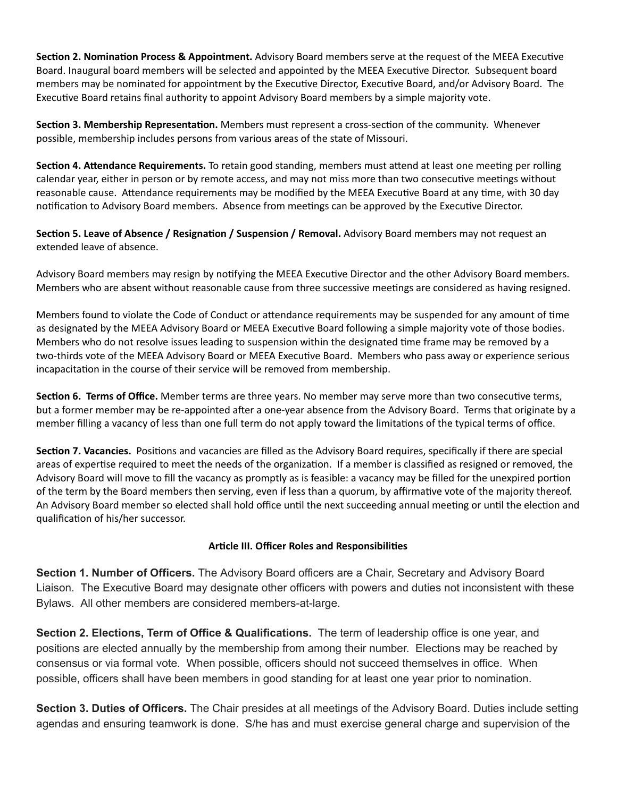**Section 2. Nomination Process & Appointment.** Advisory Board members serve at the request of the MEEA Executive Board. Inaugural board members will be selected and appointed by the MEEA Executive Director. Subsequent board members may be nominated for appointment by the Executive Director, Executive Board, and/or Advisory Board. The Executive Board retains final authority to appoint Advisory Board members by a simple majority vote.

**Section 3. Membership Representation.** Members must represent a cross-section of the community. Whenever possible, membership includes persons from various areas of the state of Missouri.

**Section 4. Attendance Requirements.** To retain good standing, members must attend at least one meeting per rolling calendar year, either in person or by remote access, and may not miss more than two consecutive meetings without reasonable cause. Attendance requirements may be modified by the MEEA Executive Board at any time, with 30 day notification to Advisory Board members. Absence from meetings can be approved by the Executive Director.

**Section 5. Leave of Absence / Resignation / Suspension / Removal. Advisory Board members may not request an** extended leave of absence.

Advisory Board members may resign by notifying the MEEA Executive Director and the other Advisory Board members. Members who are absent without reasonable cause from three successive meetings are considered as having resigned.

Members found to violate the Code of Conduct or attendance requirements may be suspended for any amount of time as designated by the MEEA Advisory Board or MEEA Executive Board following a simple majority vote of those bodies. Members who do not resolve issues leading to suspension within the designated time frame may be removed by a two-thirds vote of the MEEA Advisory Board or MEEA Executive Board. Members who pass away or experience serious incapacitation in the course of their service will be removed from membership.

**Section 6. Terms of Office.** Member terms are three years. No member may serve more than two consecutive terms, but a former member may be re-appointed after a one-year absence from the Advisory Board. Terms that originate by a member filling a vacancy of less than one full term do not apply toward the limitations of the typical terms of office.

**Section 7. Vacancies.** Positions and vacancies are filled as the Advisory Board requires, specifically if there are special areas of expertise required to meet the needs of the organization. If a member is classified as resigned or removed, the Advisory Board will move to fill the vacancy as promptly as is feasible: a vacancy may be filled for the unexpired portion of the term by the Board members then serving, even if less than a quorum, by affirmative vote of the majority thereof. An Advisory Board member so elected shall hold office until the next succeeding annual meeting or until the election and qualification of his/her successor.

#### **Arcle III. Officer Roles and Responsibilies**

**Section 1. Number of Officers.** The Advisory Board officers are a Chair, Secretary and Advisory Board Liaison. The Executive Board may designate other officers with powers and duties not inconsistent with these Bylaws. All other members are considered members-at-large.

**Section 2. Elections, Term of Office & Qualifications.** The term of leadership office is one year, and positions are elected annually by the membership from among their number. Elections may be reached by consensus or via formal vote. When possible, officers should not succeed themselves in office. When possible, officers shall have been members in good standing for at least one year prior to nomination.

**Section 3. Duties of Officers.** The Chair presides at all meetings of the Advisory Board. Duties include setting agendas and ensuring teamwork is done. S/he has and must exercise general charge and supervision of the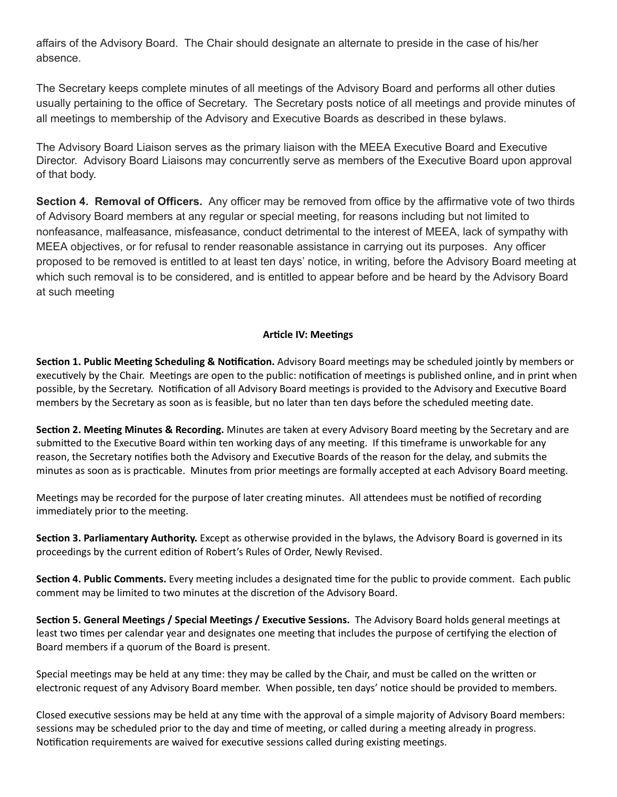affairs of the Advisory Board. The Chair should designate an alternate to preside in the case of his/her absence.

The Secretary keeps complete minutes of all meetings of the Advisory Board and performs all other duties usually pertaining to the office of Secretary. The Secretary posts notice of all meetings and provide minutes of all meetings to membership of the Advisory and Executive Boards as described in these bylaws.

The Advisory Board Liaison serves as the primary liaison with the MEEA Executive Board and Executive Director. Advisory Board Liaisons may concurrently serve as members of the Executive Board upon approval of that body.

**Section 4. Removal of Officers.** Any officer may be removed from office by the affirmative vote of two thirds of Advisory Board members at any regular or special meeting, for reasons including but not limited to nonfeasance, malfeasance, misfeasance, conduct detrimental to the interest of MEEA, lack of sympathy with MEEA objectives, or for refusal to render reasonable assistance in carrying out its purposes. Any officer proposed to be removed is entitled to at least ten days' notice, in writing, before the Advisory Board meeting at which such removal is to be considered, and is entitled to appear before and be heard by the Advisory Board at such meeting

### **Article IV: Meetings**

**Section 1. Public Meeting Scheduling & Notification.** Advisory Board meetings may be scheduled jointly by members or executively by the Chair. Meetings are open to the public: notification of meetings is published online, and in print when possible, by the Secretary. Notification of all Advisory Board meetings is provided to the Advisory and Executive Board members by the Secretary as soon as is feasible, but no later than ten days before the scheduled meeting date.

**Section 2. Meeting Minutes & Recording.** Minutes are taken at every Advisory Board meeting by the Secretary and are submitted to the Executive Board within ten working days of any meeting. If this timeframe is unworkable for any reason, the Secretary notifies both the Advisory and Executive Boards of the reason for the delay, and submits the minutes as soon as is practicable. Minutes from prior meetings are formally accepted at each Advisory Board meeting.

Meetings may be recorded for the purpose of later creating minutes. All attendees must be notified of recording immediately prior to the meeting.

**Section 3. Parliamentary Authority.** Except as otherwise provided in the bylaws, the Advisory Board is governed in its proceedings by the current edition of Robert's Rules of Order, Newly Revised.

**Section 4. Public Comments.** Every meeting includes a designated time for the public to provide comment. Each public comment may be limited to two minutes at the discretion of the Advisory Board.

**Section 5. General Meetings / Special Meetings / Executive Sessions. The Advisory Board holds general meetings at** least two times per calendar year and designates one meeting that includes the purpose of certifying the election of Board members if a quorum of the Board is present.

Special meetings may be held at any time: they may be called by the Chair, and must be called on the written or electronic request of any Advisory Board member. When possible, ten days' notice should be provided to members.

Closed executive sessions may be held at any time with the approval of a simple majority of Advisory Board members: sessions may be scheduled prior to the day and time of meeting, or called during a meeting already in progress. Notification requirements are waived for executive sessions called during existing meetings.